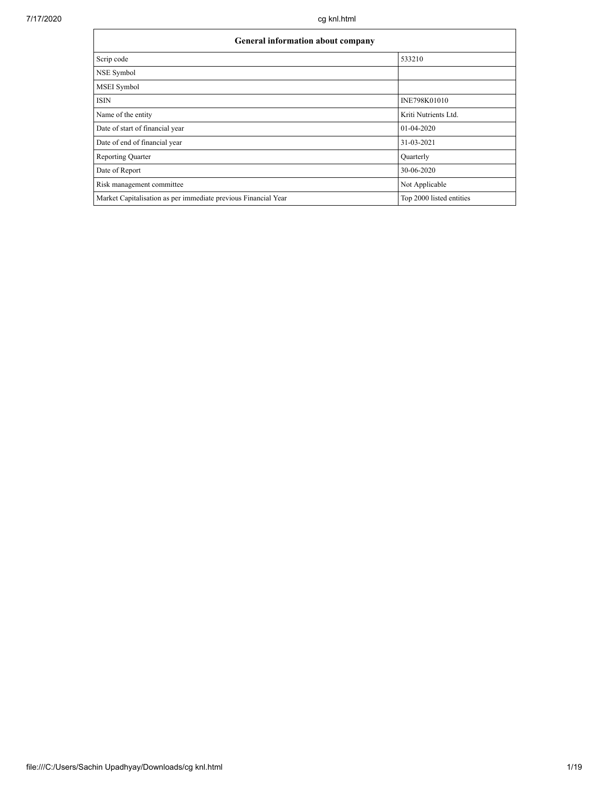| General information about company                              |                          |  |  |  |  |  |  |
|----------------------------------------------------------------|--------------------------|--|--|--|--|--|--|
| Scrip code                                                     | 533210                   |  |  |  |  |  |  |
| NSE Symbol                                                     |                          |  |  |  |  |  |  |
| <b>MSEI</b> Symbol                                             |                          |  |  |  |  |  |  |
| <b>ISIN</b>                                                    | INE798K01010             |  |  |  |  |  |  |
| Name of the entity                                             | Kriti Nutrients Ltd.     |  |  |  |  |  |  |
| Date of start of financial year                                | 01-04-2020               |  |  |  |  |  |  |
| Date of end of financial year                                  | 31-03-2021               |  |  |  |  |  |  |
| <b>Reporting Quarter</b>                                       | Quarterly                |  |  |  |  |  |  |
| Date of Report                                                 | 30-06-2020               |  |  |  |  |  |  |
| Risk management committee                                      | Not Applicable           |  |  |  |  |  |  |
| Market Capitalisation as per immediate previous Financial Year | Top 2000 listed entities |  |  |  |  |  |  |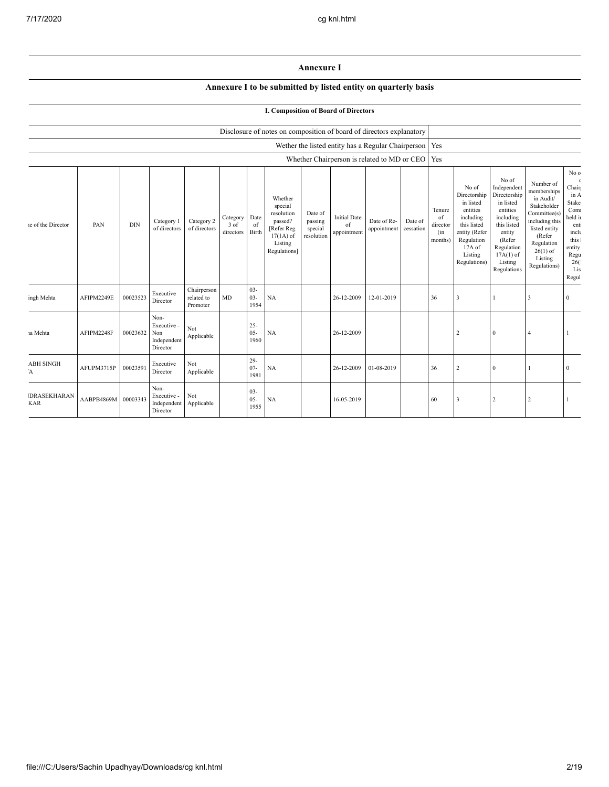## **Annexure I**

### **Annexure I to be submitted by listed entity on quarterly basis**

### **I. Composition of Board of Directors**

|                                  |                     |            |                                                       |                                       |                               |                          | Disclosure of notes on composition of board of directors explanatory                                 |                                             |                                          |                                                          |                      |                                            |                                                                                                                                                |                                                                                                                                                                      |                                                                                                                                                                          |                                                                                                                              |
|----------------------------------|---------------------|------------|-------------------------------------------------------|---------------------------------------|-------------------------------|--------------------------|------------------------------------------------------------------------------------------------------|---------------------------------------------|------------------------------------------|----------------------------------------------------------|----------------------|--------------------------------------------|------------------------------------------------------------------------------------------------------------------------------------------------|----------------------------------------------------------------------------------------------------------------------------------------------------------------------|--------------------------------------------------------------------------------------------------------------------------------------------------------------------------|------------------------------------------------------------------------------------------------------------------------------|
|                                  |                     |            |                                                       |                                       |                               |                          |                                                                                                      |                                             |                                          | Wether the listed entity has a Regular Chairperson   Yes |                      |                                            |                                                                                                                                                |                                                                                                                                                                      |                                                                                                                                                                          |                                                                                                                              |
|                                  |                     |            |                                                       |                                       |                               |                          |                                                                                                      |                                             |                                          | Whether Chairperson is related to MD or CEO   Yes        |                      |                                            |                                                                                                                                                |                                                                                                                                                                      |                                                                                                                                                                          |                                                                                                                              |
| le of the Director               | PAN                 | <b>DIN</b> | Category 1<br>of directors                            | Category 2<br>of directors            | Category<br>3 of<br>directors | Date<br>of<br>Birth      | Whether<br>special<br>resolution<br>passed?<br>[Refer Reg.<br>$17(1A)$ of<br>Listing<br>Regulations] | Date of<br>passing<br>special<br>resolution | <b>Initial Date</b><br>of<br>appointment | Date of Re-<br>appointment                               | Date of<br>cessation | Tenure<br>of<br>director<br>(in<br>months) | No of<br>Directorship<br>in listed<br>entities<br>including<br>this listed<br>entity (Refer<br>Regulation<br>17A of<br>Listing<br>Regulations) | No of<br>Independent<br>Directorship<br>in listed<br>entities<br>including<br>this listed<br>entity<br>(Refer<br>Regulation<br>$17A(1)$ of<br>Listing<br>Regulations | Number of<br>memberships<br>in Audit/<br>Stakeholder<br>Committee(s)<br>including this<br>listed entity<br>(Refer<br>Regulation<br>$26(1)$ of<br>Listing<br>Regulations) | No ${\rm o}$<br>Chair<br>in A<br>Stake<br>Com<br>held it<br>ent:<br>inclu<br>this 1<br>entity<br>Regu<br>26(<br>Lis<br>Regul |
| ingh Mehta                       | AFIPM2249E          | 00023523   | Executive<br>Director                                 | Chairperson<br>related to<br>Promoter | MD                            | $03 -$<br>$03 -$<br>1954 | <b>NA</b>                                                                                            |                                             | 26-12-2009                               | 12-01-2019                                               |                      | 36                                         | $\overline{\mathbf{3}}$                                                                                                                        |                                                                                                                                                                      | 3                                                                                                                                                                        | $\Omega$                                                                                                                     |
| ia Mehta                         | AFIPM2248F          | 00023632   | Non-<br>Executive -<br>Non<br>Independent<br>Director | Not<br>Applicable                     |                               | $25 -$<br>$05 -$<br>1960 | <b>NA</b>                                                                                            |                                             | 26-12-2009                               |                                                          |                      |                                            | 2                                                                                                                                              | $\Omega$                                                                                                                                                             | $\overline{4}$                                                                                                                                                           |                                                                                                                              |
| <b>ABH SINGH</b><br>Ά            | AFUPM3715P          | 00023591   | Executive<br>Director                                 | Not<br>Applicable                     |                               | $29 -$<br>$07 -$<br>1981 | NA                                                                                                   |                                             | 26-12-2009                               | 01-08-2019                                               |                      | 36                                         | 2                                                                                                                                              | $\theta$                                                                                                                                                             |                                                                                                                                                                          | $\Omega$                                                                                                                     |
| <b>DRASEKHARAN</b><br><b>KAR</b> | AABPB4869M 00003343 |            | Non-<br>Executive -<br>Independent<br>Director        | Not<br>Applicable                     |                               | $03 -$<br>$05 -$<br>1955 | NA                                                                                                   |                                             | 16-05-2019                               |                                                          |                      | 60                                         | $\overline{\mathbf{3}}$                                                                                                                        |                                                                                                                                                                      | 2                                                                                                                                                                        |                                                                                                                              |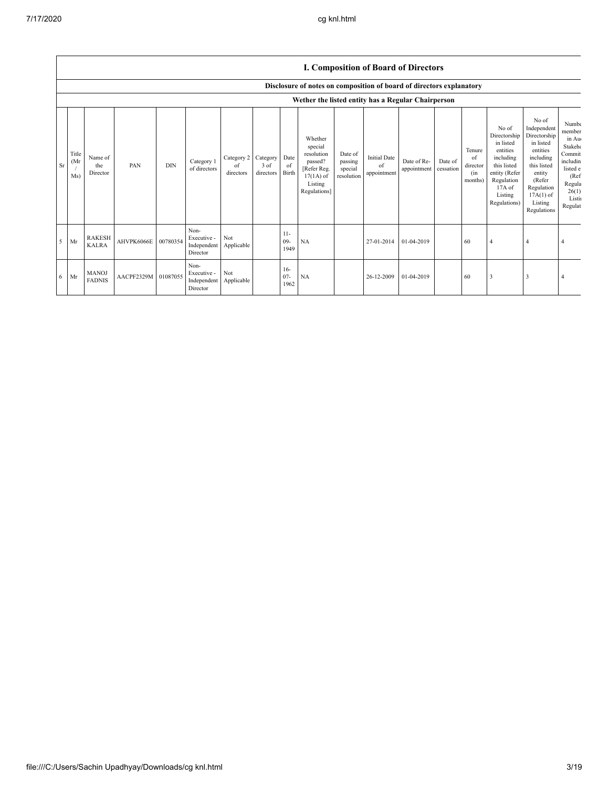|  | I. Composition of Board of Directors |  |  |  |
|--|--------------------------------------|--|--|--|
|--|--------------------------------------|--|--|--|

|    |                      |                               |                     |            |                                                |                                        |                   |                         | Disclosure of notes on composition of board of directors explanatory                                 |                                             |                                          |                            |                      |                                            |                                                                                                                                                |                                                                                                                                                                      |                                                                                                                        |
|----|----------------------|-------------------------------|---------------------|------------|------------------------------------------------|----------------------------------------|-------------------|-------------------------|------------------------------------------------------------------------------------------------------|---------------------------------------------|------------------------------------------|----------------------------|----------------------|--------------------------------------------|------------------------------------------------------------------------------------------------------------------------------------------------|----------------------------------------------------------------------------------------------------------------------------------------------------------------------|------------------------------------------------------------------------------------------------------------------------|
|    |                      |                               |                     |            |                                                |                                        |                   |                         | Wether the listed entity has a Regular Chairperson                                                   |                                             |                                          |                            |                      |                                            |                                                                                                                                                |                                                                                                                                                                      |                                                                                                                        |
| Sr | Title<br>(Mr)<br>Ms) | Name of<br>the<br>Director    | PAN                 | <b>DIN</b> | Category 1<br>of directors                     | Category 2 Category<br>of<br>directors | 3 of<br>directors | Date<br>of<br>Birth     | Whether<br>special<br>resolution<br>passed?<br>[Refer Reg.<br>$17(1A)$ of<br>Listing<br>Regulations] | Date of<br>passing<br>special<br>resolution | <b>Initial Date</b><br>of<br>appointment | Date of Re-<br>appointment | Date of<br>cessation | Tenure<br>of<br>director<br>(in<br>months) | No of<br>Directorship<br>in listed<br>entities<br>including<br>this listed<br>entity (Refer<br>Regulation<br>17A of<br>Listing<br>Regulations) | No of<br>Independent<br>Directorship<br>in listed<br>entities<br>including<br>this listed<br>entity<br>(Refer<br>Regulation<br>$17A(1)$ of<br>Listing<br>Regulations | Numbe<br>member<br>in Au<br>Stakeho<br>Commit<br>includin<br>listed e<br>(Ref)<br>Regula<br>26(1)<br>Listin<br>Regulat |
| 5  | Mr                   | <b>RAKESH</b><br><b>KALRA</b> | AHVPK6066E          | 00780354   | Non-<br>Executive -<br>Independent<br>Director | Not<br>Applicable                      |                   | $11-$<br>$09 -$<br>1949 | NA                                                                                                   |                                             | 27-01-2014                               | 01-04-2019                 |                      | 60                                         | $\overline{4}$                                                                                                                                 |                                                                                                                                                                      |                                                                                                                        |
| -6 | Mr                   | <b>MANOJ</b><br><b>FADNIS</b> | AACPF2329M 01087055 |            | Non-<br>Executive -<br>Independent<br>Director | Not<br>Applicable                      |                   | $16-$<br>$07 -$<br>1962 | NA                                                                                                   |                                             | 26-12-2009                               | 01-04-2019                 |                      | 60                                         | 3                                                                                                                                              | 3                                                                                                                                                                    |                                                                                                                        |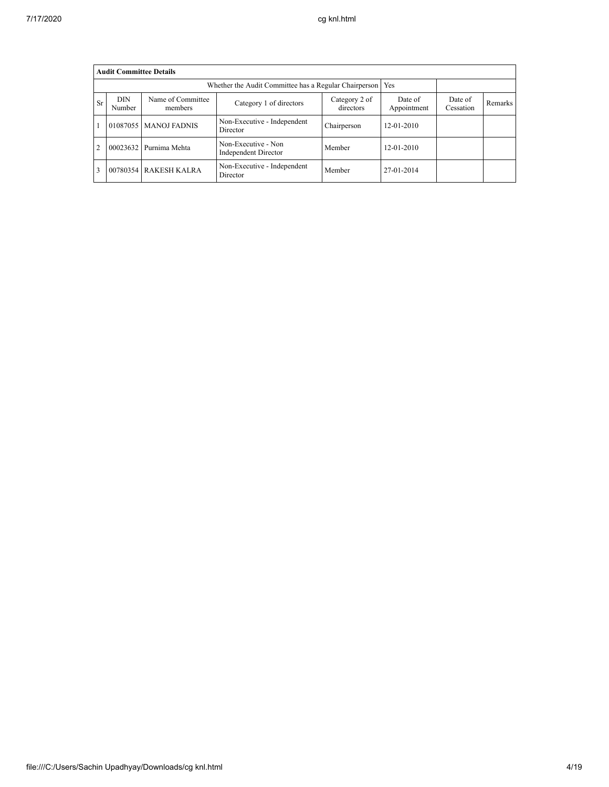|                                                                                                                                                                              |          | <b>Audit Committee Details</b> |                                                             |             |                  |  |                |
|------------------------------------------------------------------------------------------------------------------------------------------------------------------------------|----------|--------------------------------|-------------------------------------------------------------|-------------|------------------|--|----------------|
|                                                                                                                                                                              |          |                                | Whether the Audit Committee has a Regular Chairperson   Yes |             |                  |  |                |
| <b>DIN</b><br>Name of Committee<br>Date of<br>Category 2 of<br>Date of<br><b>Sr</b><br>Category 1 of directors<br>Appointment<br>directors<br>Number<br>Cessation<br>members |          |                                |                                                             |             |                  |  | <b>Remarks</b> |
|                                                                                                                                                                              | 01087055 | <b>MANOJ FADNIS</b>            | Non-Executive - Independent<br>Director                     | Chairperson | $12 - 01 - 2010$ |  |                |
| $\overline{c}$                                                                                                                                                               | 00023632 | Purnima Mehta                  | Non-Executive - Non<br><b>Independent Director</b>          | Member      | $12 - 01 - 2010$ |  |                |
| 3                                                                                                                                                                            |          | 00780354 RAKESH KALRA          | Non-Executive - Independent<br>Director                     | Member      | 27-01-2014       |  |                |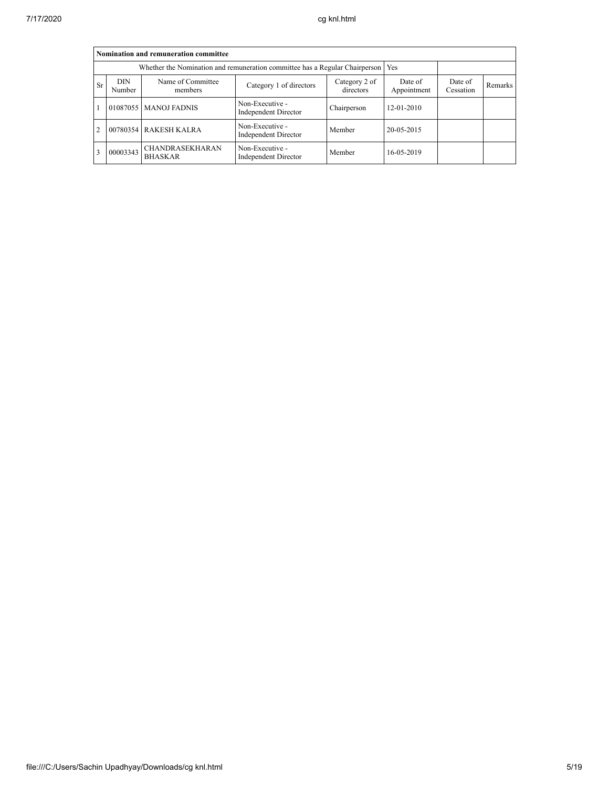|                | Nomination and remuneration committee |                                                                                   |                                                |                        |                      |         |  |  |  |  |
|----------------|---------------------------------------|-----------------------------------------------------------------------------------|------------------------------------------------|------------------------|----------------------|---------|--|--|--|--|
|                |                                       | Whether the Nomination and remuneration committee has a Regular Chairperson   Yes |                                                |                        |                      |         |  |  |  |  |
| <b>Sr</b>      | DIN.<br>Number                        | Name of Committee<br>members                                                      | Category 2 of<br>directors                     | Date of<br>Appointment | Date of<br>Cessation | Remarks |  |  |  |  |
|                |                                       | 01087055   MANOJ FADNIS                                                           | Non-Executive -<br><b>Independent Director</b> | Chairperson            | $12 - 01 - 2010$     |         |  |  |  |  |
| $\overline{c}$ |                                       | 00780354 RAKESH KALRA                                                             | Non-Executive -<br><b>Independent Director</b> | Member                 | 20-05-2015           |         |  |  |  |  |
| 3              | 00003343                              | <b>CHANDRASEKHARAN</b><br><b>BHASKAR</b>                                          | Non-Executive -<br><b>Independent Director</b> | Member                 | 16-05-2019           |         |  |  |  |  |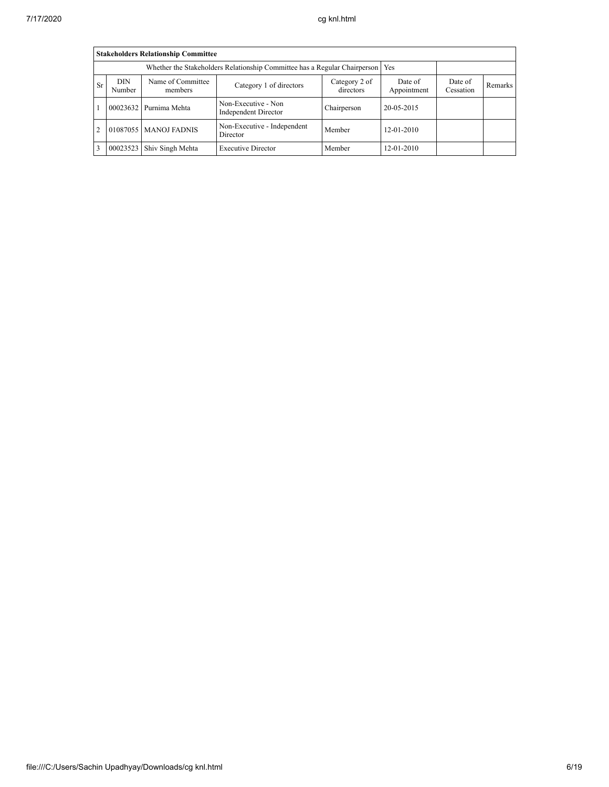|           | <b>Stakeholders Relationship Committee</b>                                                                                                                                 |                        |                                                    |             |            |  |  |  |  |  |  |
|-----------|----------------------------------------------------------------------------------------------------------------------------------------------------------------------------|------------------------|----------------------------------------------------|-------------|------------|--|--|--|--|--|--|
|           | Whether the Stakeholders Relationship Committee has a Regular Chairperson<br>Yes                                                                                           |                        |                                                    |             |            |  |  |  |  |  |  |
| <b>Sr</b> | <b>DIN</b><br>Name of Committee<br>Category 2 of<br>Date of<br>Date of<br>Category 1 of directors<br>Remarks<br>directors<br>Appointment<br>Number<br>Cessation<br>members |                        |                                                    |             |            |  |  |  |  |  |  |
|           |                                                                                                                                                                            | 00023632 Purnima Mehta | Non-Executive - Non<br><b>Independent Director</b> | Chairperson | 20-05-2015 |  |  |  |  |  |  |
| 2         | Non-Executive - Independent<br>01087055   MANOJ FADNIS<br>Member<br>12-01-2010<br>Director                                                                                 |                        |                                                    |             |            |  |  |  |  |  |  |
|           | 00023523<br>Member<br>12-01-2010<br>Shiv Singh Mehta<br><b>Executive Director</b>                                                                                          |                        |                                                    |             |            |  |  |  |  |  |  |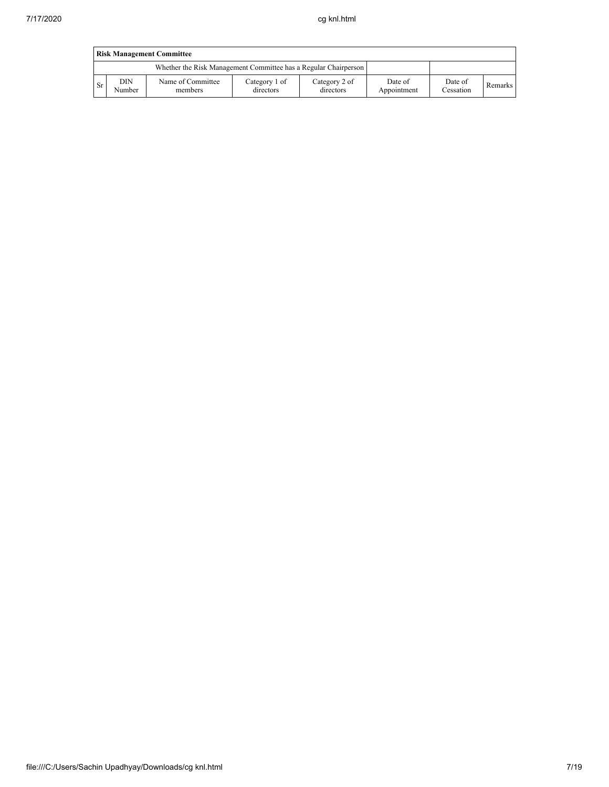|     | <b>Risk Management Committee</b> |                                                                 |                            |                            |                        |                      |                |  |  |  |  |
|-----|----------------------------------|-----------------------------------------------------------------|----------------------------|----------------------------|------------------------|----------------------|----------------|--|--|--|--|
|     |                                  | Whether the Risk Management Committee has a Regular Chairperson |                            |                            |                        |                      |                |  |  |  |  |
| -Sr | <b>DIN</b><br>Number             | Name of Committee<br>members                                    | Category 1 of<br>directors | Category 2 of<br>directors | Date of<br>Appointment | Date of<br>Cessation | <b>Remarks</b> |  |  |  |  |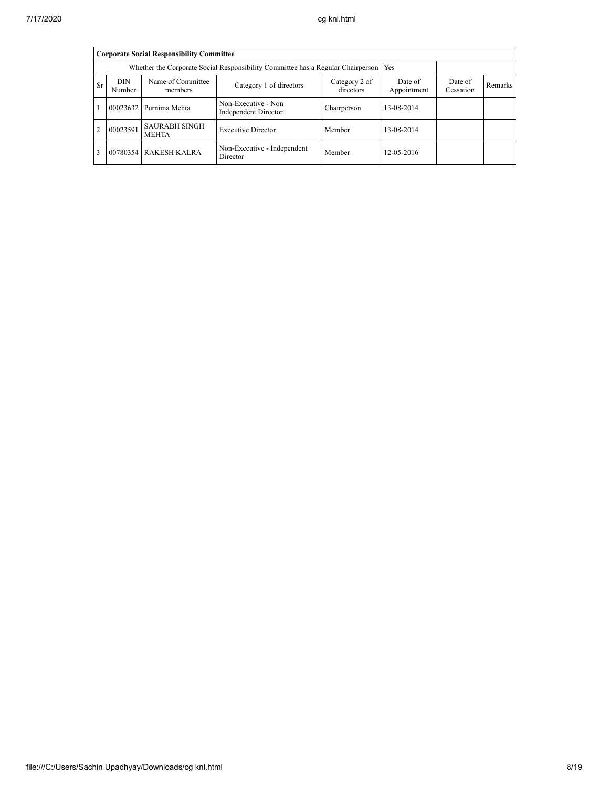|                                                                                                                                                                                         | <b>Corporate Social Responsibility Committee</b> |                                                                                 |                                             |             |            |  |  |  |  |  |  |
|-----------------------------------------------------------------------------------------------------------------------------------------------------------------------------------------|--------------------------------------------------|---------------------------------------------------------------------------------|---------------------------------------------|-------------|------------|--|--|--|--|--|--|
|                                                                                                                                                                                         |                                                  | Whether the Corporate Social Responsibility Committee has a Regular Chairperson |                                             | Yes         |            |  |  |  |  |  |  |
| <b>DIN</b><br>Name of Committee<br>Date of<br>Category 2 of<br>Date of<br><b>Sr</b><br>Category 1 of directors<br>Remarks<br>directors<br>Appointment<br>Number<br>Cessation<br>members |                                                  |                                                                                 |                                             |             |            |  |  |  |  |  |  |
|                                                                                                                                                                                         | 00023632                                         | Purnima Mehta                                                                   | Non-Executive - Non<br>Independent Director | Chairperson | 13-08-2014 |  |  |  |  |  |  |
|                                                                                                                                                                                         | 00023591                                         | <b>SAURABH SINGH</b><br><b>MEHTA</b>                                            | <b>Executive Director</b>                   | Member      | 13-08-2014 |  |  |  |  |  |  |
|                                                                                                                                                                                         | 00780354                                         | <b>RAKESH KALRA</b>                                                             | Non-Executive - Independent<br>Director     | Member      | 12-05-2016 |  |  |  |  |  |  |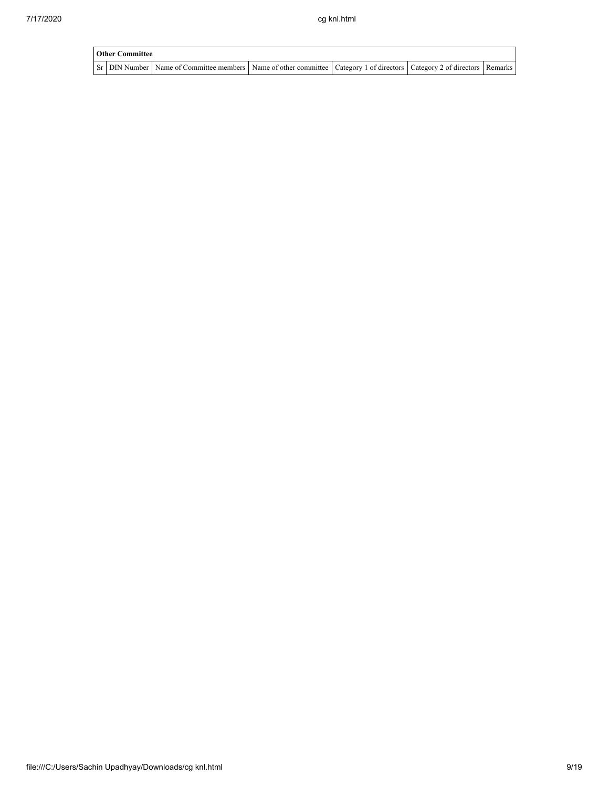| <b>Other Committee</b> |                                                                                                                         |  |  |  |  |  |  |  |
|------------------------|-------------------------------------------------------------------------------------------------------------------------|--|--|--|--|--|--|--|
|                        | Sr DIN Number Name of Committee members Name of other committee Category 1 of directors Category 2 of directors Remarks |  |  |  |  |  |  |  |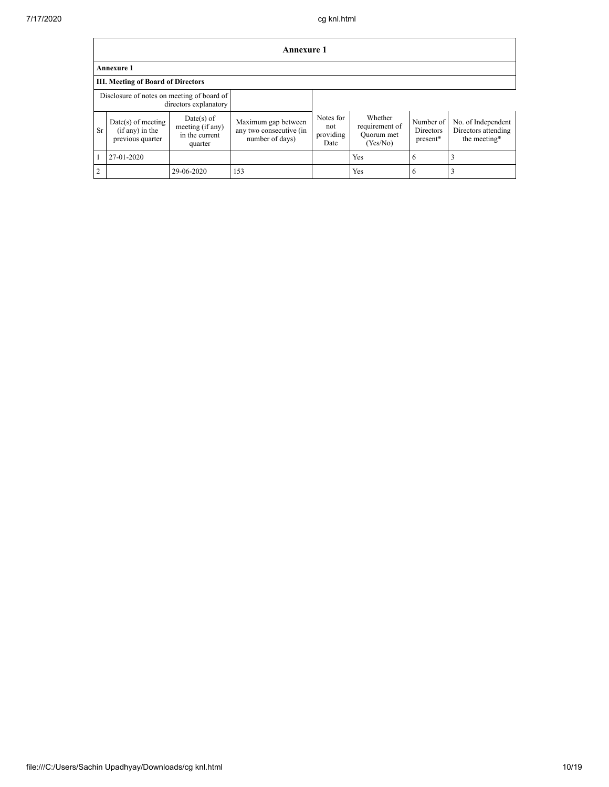|                   | <b>Annexure 1</b>                                                   |                                                             |                                                                   |                                       |                                                     |                                    |                                                           |  |  |  |
|-------------------|---------------------------------------------------------------------|-------------------------------------------------------------|-------------------------------------------------------------------|---------------------------------------|-----------------------------------------------------|------------------------------------|-----------------------------------------------------------|--|--|--|
| <b>Annexure 1</b> |                                                                     |                                                             |                                                                   |                                       |                                                     |                                    |                                                           |  |  |  |
|                   | <b>III. Meeting of Board of Directors</b>                           |                                                             |                                                                   |                                       |                                                     |                                    |                                                           |  |  |  |
|                   | Disclosure of notes on meeting of board of<br>directors explanatory |                                                             |                                                                   |                                       |                                                     |                                    |                                                           |  |  |  |
| Sr.               | $Date(s)$ of meeting<br>$(i f any)$ in the<br>previous quarter      | Date(s) of<br>meeting (if any)<br>in the current<br>quarter | Maximum gap between<br>any two consecutive (in<br>number of days) | Notes for<br>not<br>providing<br>Date | Whether<br>requirement of<br>Quorum met<br>(Yes/No) | Number of<br>Directors<br>present* | No. of Independent<br>Directors attending<br>the meeting* |  |  |  |
|                   | 27-01-2020                                                          |                                                             |                                                                   |                                       | Yes                                                 | 6                                  |                                                           |  |  |  |
| $\overline{2}$    |                                                                     | 29-06-2020                                                  | 153                                                               |                                       | Yes                                                 | 6                                  |                                                           |  |  |  |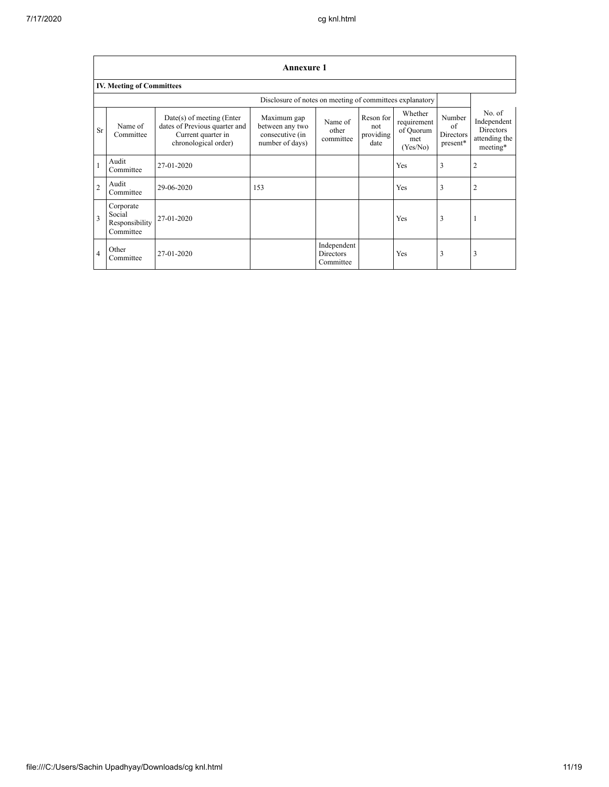|                | <b>Annexure 1</b>                                  |                                                                                                            |                                                                      |                                              |                                       |                                                        |                                       |                                                                        |  |  |
|----------------|----------------------------------------------------|------------------------------------------------------------------------------------------------------------|----------------------------------------------------------------------|----------------------------------------------|---------------------------------------|--------------------------------------------------------|---------------------------------------|------------------------------------------------------------------------|--|--|
|                | <b>IV. Meeting of Committees</b>                   |                                                                                                            |                                                                      |                                              |                                       |                                                        |                                       |                                                                        |  |  |
|                |                                                    |                                                                                                            |                                                                      |                                              |                                       |                                                        |                                       |                                                                        |  |  |
| Sr             | Name of<br>Committee                               | $Date(s)$ of meeting (Enter<br>dates of Previous quarter and<br>Current quarter in<br>chronological order) | Maximum gap<br>between any two<br>consecutive (in<br>number of days) | Name of<br>other<br>committee                | Reson for<br>not<br>providing<br>date | Whether<br>requirement<br>of Quorum<br>met<br>(Yes/No) | Number<br>of<br>Directors<br>present* | No. of<br>Independent<br><b>Directors</b><br>attending the<br>meeting* |  |  |
| $\mathbf{1}$   | Audit<br>Committee                                 | 27-01-2020                                                                                                 |                                                                      |                                              |                                       | <b>Yes</b>                                             | 3                                     | 2                                                                      |  |  |
| $\overline{2}$ | Audit<br>Committee                                 | 29-06-2020                                                                                                 | 153                                                                  |                                              |                                       | Yes                                                    | 3                                     | 2                                                                      |  |  |
| 3              | Corporate<br>Social<br>Responsibility<br>Committee | 27-01-2020                                                                                                 |                                                                      |                                              |                                       | Yes                                                    | 3                                     |                                                                        |  |  |
| $\overline{4}$ | Other<br>Committee                                 | 27-01-2020                                                                                                 |                                                                      | Independent<br><b>Directors</b><br>Committee |                                       | <b>Yes</b>                                             | 3                                     | 3                                                                      |  |  |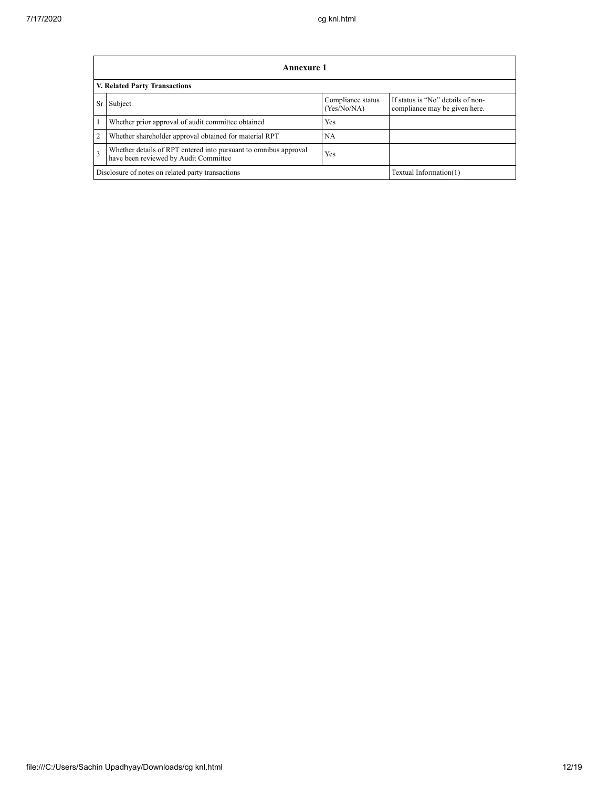|                                      | Annexure 1                                                                                                |                                  |                                                                    |  |  |
|--------------------------------------|-----------------------------------------------------------------------------------------------------------|----------------------------------|--------------------------------------------------------------------|--|--|
| <b>V. Related Party Transactions</b> |                                                                                                           |                                  |                                                                    |  |  |
| <b>Sr</b>                            | Subject                                                                                                   | Compliance status<br>(Yes/No/NA) | If status is "No" details of non-<br>compliance may be given here. |  |  |
|                                      | Whether prior approval of audit committee obtained                                                        | Yes                              |                                                                    |  |  |
| 2                                    | Whether shareholder approval obtained for material RPT                                                    | NA                               |                                                                    |  |  |
| 3                                    | Whether details of RPT entered into pursuant to omnibus approval<br>have been reviewed by Audit Committee | Yes                              |                                                                    |  |  |
|                                      | Disclosure of notes on related party transactions                                                         | Textual Information(1)           |                                                                    |  |  |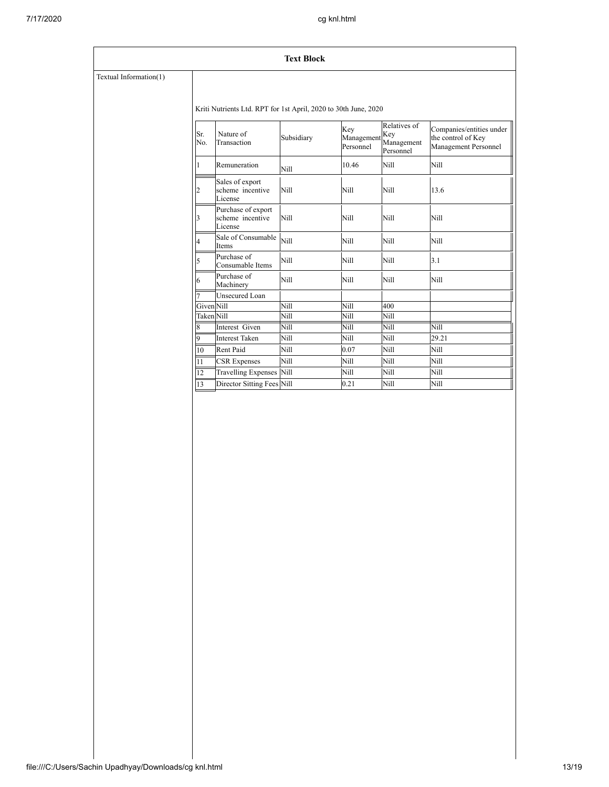### **Text Block**

# Textual Information(1)

Kriti Nutrients Ltd. RPT for 1st April, 2020 to 30th June, 2020

| Sr.<br>No.              | Nature of<br>Transaction                          | Subsidiary | Key<br>Management<br>Personnel | Relatives of<br>Key<br>Management<br>Personnel | Companies/entities under<br>the control of Key<br>Management Personnel |
|-------------------------|---------------------------------------------------|------------|--------------------------------|------------------------------------------------|------------------------------------------------------------------------|
| 1                       | Remuneration                                      | Nill       | 10.46                          | Nill                                           | Nill                                                                   |
| $\overline{2}$          | Sales of export<br>scheme incentive<br>License    | Nill       | Nill                           | Nill                                           | 13.6                                                                   |
| $\overline{\mathbf{3}}$ | Purchase of export<br>scheme incentive<br>License | Nill       | Nill                           | Nill                                           | Nill                                                                   |
| $\overline{4}$          | Sale of Consumable<br>Items                       | Nill       | Nill                           | Nill                                           | Nill                                                                   |
| 5                       | Purchase of<br>Consumable Items                   | Nill       | Nill                           | Nill                                           | 3.1                                                                    |
| 6                       | Purchase of<br>Machinery                          | Nill       | Nill                           | Nill                                           | Nill                                                                   |
|                         | <b>Unsecured Loan</b>                             |            |                                |                                                |                                                                        |
| Given Nill              |                                                   | Nill       | Nill                           | 400                                            |                                                                        |
| <b>Taken</b> Nill       |                                                   | Nill       | Nill                           | Nill                                           |                                                                        |
| $\overline{\mathbf{8}}$ | Interest Given                                    | Nill       | Nill                           | Nill                                           | Nill                                                                   |
| 9                       | <b>Interest Taken</b>                             | Nill       | Nill                           | Nill                                           | 29.21                                                                  |
| 10                      | <b>Rent Paid</b>                                  | Nill       | 0.07                           | Nill                                           | Nill                                                                   |
| $\overline{11}$         | <b>CSR</b> Expenses                               | Nill       | Nill                           | Nill                                           | Nill                                                                   |
| $\overline{12}$         | Travelling Expenses Nill                          |            | Nill                           | Nill                                           | Nill                                                                   |
| 13                      | Director Sitting Fees Nill                        |            | 0.21                           | Nill                                           | Nill                                                                   |
|                         |                                                   |            |                                |                                                |                                                                        |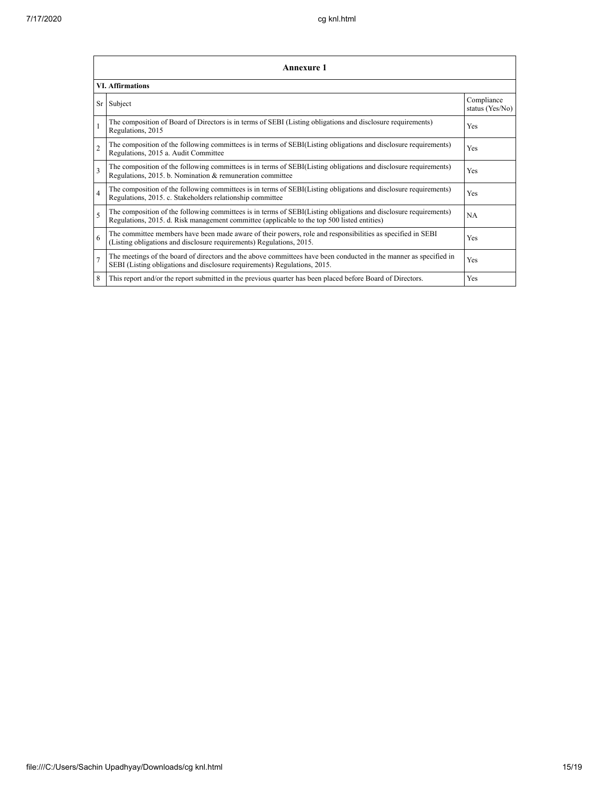|                | <b>Annexure 1</b>                                                                                                                                                                                               |                               |  |  |  |
|----------------|-----------------------------------------------------------------------------------------------------------------------------------------------------------------------------------------------------------------|-------------------------------|--|--|--|
|                | <b>VI.</b> Affirmations                                                                                                                                                                                         |                               |  |  |  |
| Sr             | Subject                                                                                                                                                                                                         | Compliance<br>status (Yes/No) |  |  |  |
| 1              | The composition of Board of Directors is in terms of SEBI (Listing obligations and disclosure requirements)<br>Regulations, 2015                                                                                | Yes                           |  |  |  |
| $\overline{2}$ | The composition of the following committees is in terms of SEBI(Listing obligations and disclosure requirements)<br>Regulations, 2015 a. Audit Committee                                                        | Yes                           |  |  |  |
| 3              | The composition of the following committees is in terms of SEBI(Listing obligations and disclosure requirements)<br>Regulations, 2015. b. Nomination & remuneration committee                                   | Yes                           |  |  |  |
| $\overline{4}$ | The composition of the following committees is in terms of SEBI(Listing obligations and disclosure requirements)<br>Regulations, 2015. c. Stakeholders relationship committee                                   | Yes                           |  |  |  |
| $\varsigma$    | The composition of the following committees is in terms of SEBI(Listing obligations and disclosure requirements)<br>Regulations, 2015. d. Risk management committee (applicable to the top 500 listed entities) | <b>NA</b>                     |  |  |  |
| 6              | The committee members have been made aware of their powers, role and responsibilities as specified in SEBI<br>(Listing obligations and disclosure requirements) Regulations, 2015.                              | Yes                           |  |  |  |
| $\overline{7}$ | The meetings of the board of directors and the above committees have been conducted in the manner as specified in<br>SEBI (Listing obligations and disclosure requirements) Regulations, 2015.                  | Yes                           |  |  |  |
| 8              | This report and/or the report submitted in the previous quarter has been placed before Board of Directors.                                                                                                      | <b>Yes</b>                    |  |  |  |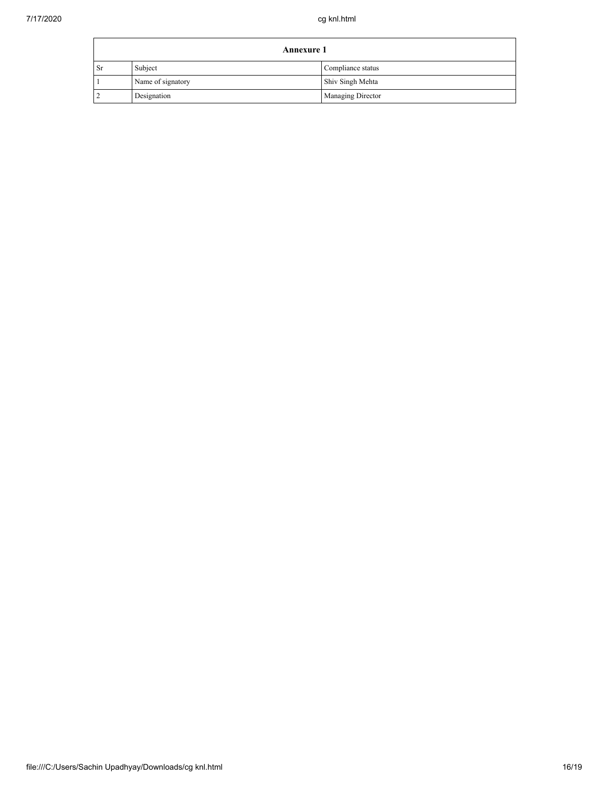| <b>Annexure 1</b> |                   |                          |  |
|-------------------|-------------------|--------------------------|--|
| - Sr              | Subject           | Compliance status        |  |
|                   | Name of signatory | Shiv Singh Mehta         |  |
|                   | Designation       | <b>Managing Director</b> |  |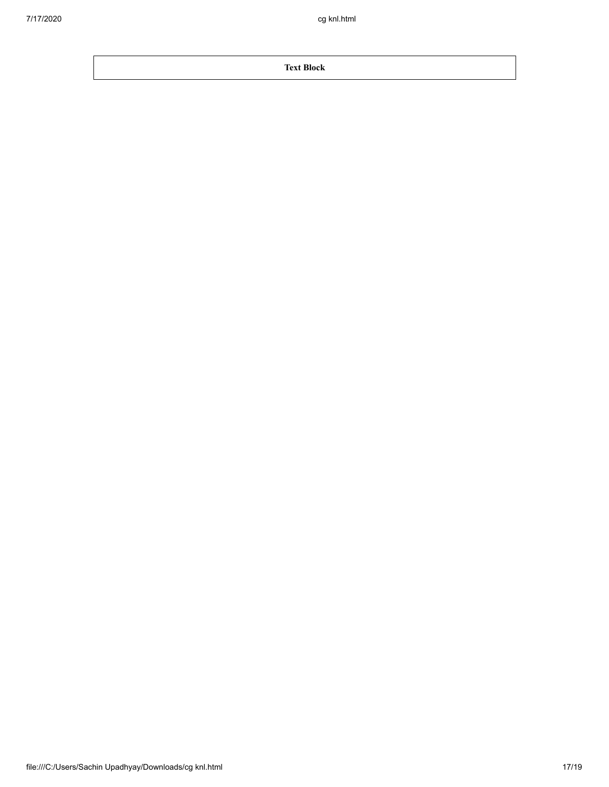**Text Block**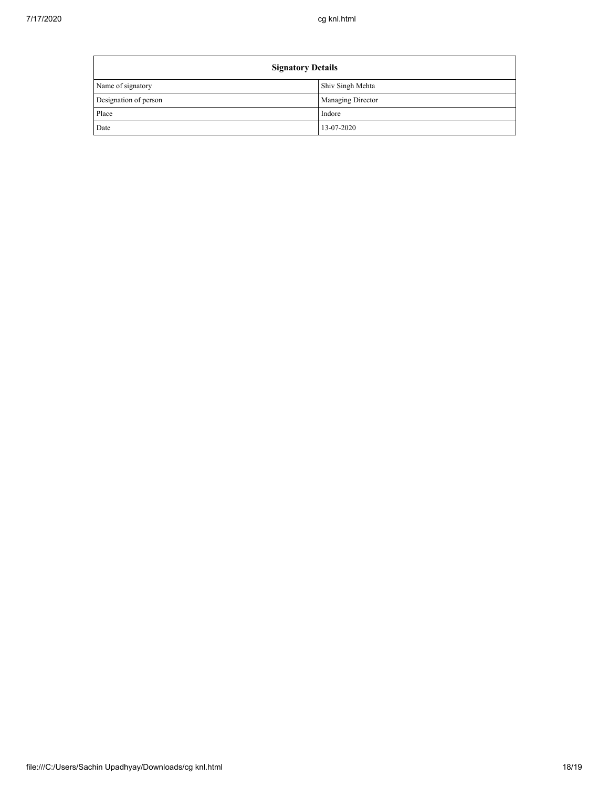| <b>Signatory Details</b> |                   |  |
|--------------------------|-------------------|--|
| Name of signatory        | Shiv Singh Mehta  |  |
| Designation of person    | Managing Director |  |
| Place                    | Indore            |  |
| Date                     | 13-07-2020        |  |